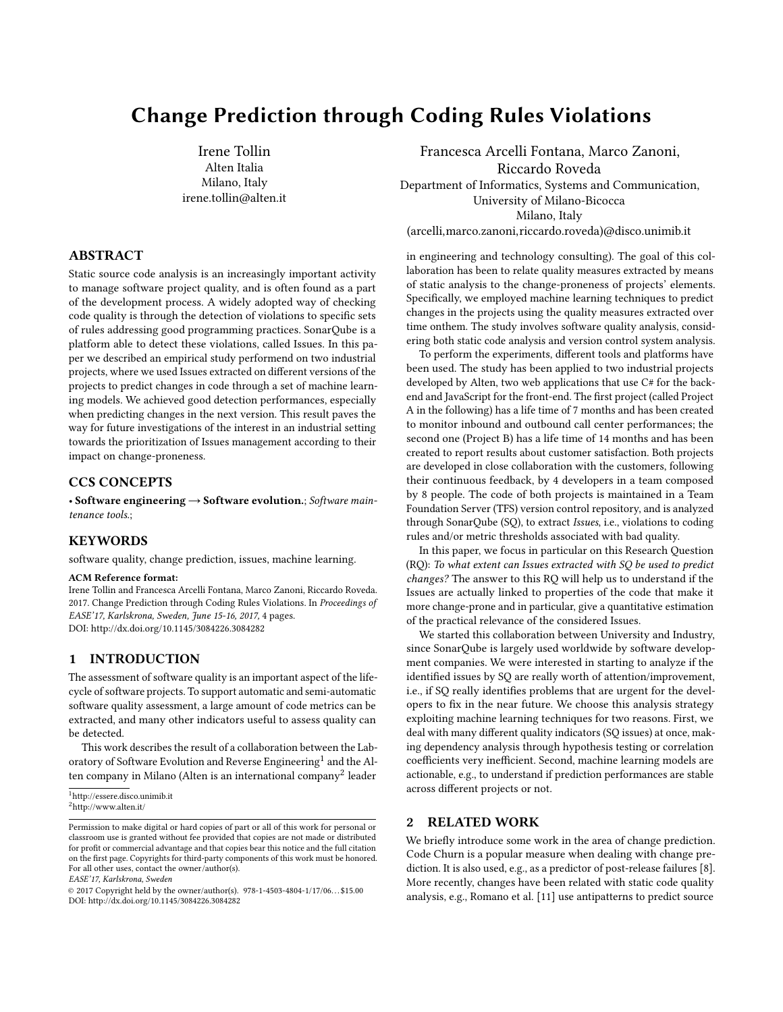# Change Prediction through Coding Rules Violations

Irene Tollin Alten Italia Milano, Italy irene.tollin@alten.it

# ABSTRACT

Static source code analysis is an increasingly important activity to manage software project quality, and is often found as a part of the development process. A widely adopted way of checking code quality is through the detection of violations to specific sets of rules addressing good programming practices. SonarQube is a platform able to detect these violations, called Issues. In this paper we described an empirical study performend on two industrial projects, where we used Issues extracted on different versions of the projects to predict changes in code through a set of machine learning models. We achieved good detection performances, especially when predicting changes in the next version. This result paves the way for future investigations of the interest in an industrial setting towards the prioritization of Issues management according to their impact on change-proneness.

## CCS CONCEPTS

• Software engineering  $\rightarrow$  Software evolution.; Software maintenance tools.;

## **KEYWORDS**

software quality, change prediction, issues, machine learning.

#### ACM Reference format:

Irene Tollin and Francesca Arcelli Fontana, Marco Zanoni, Riccardo Roveda. 2017. Change Prediction through Coding Rules Violations. In Proceedings of EASE'17, Karlskrona, Sweden, June 15-16, 2017, [4](#page-3-0) pages. DOI: http://dx.doi.org/10.1145/3084226.3084282

## 1 INTRODUCTION

The assessment of software quality is an important aspect of the lifecycle of software projects. To support automatic and semi-automatic software quality assessment, a large amount of code metrics can be extracted, and many other indicators useful to assess quality can be detected.

This work describes the result of a collaboration between the Lab-oratory of Software Evolution and Reverse Engineering<sup>[1](#page-0-0)</sup> and the Alten company in Milano (Alten is an international company $^2$  $^2$  leader

EASE'17, Karlskrona, Sweden

Francesca Arcelli Fontana, Marco Zanoni, Riccardo Roveda Department of Informatics, Systems and Communication, University of Milano-Bicocca Milano, Italy (arcelli,marco.zanoni,riccardo.roveda)@disco.unimib.it

in engineering and technology consulting). The goal of this collaboration has been to relate quality measures extracted by means of static analysis to the change-proneness of projects' elements. Specifically, we employed machine learning techniques to predict changes in the projects using the quality measures extracted over time onthem. The study involves software quality analysis, considering both static code analysis and version control system analysis.

To perform the experiments, different tools and platforms have been used. The study has been applied to two industrial projects developed by Alten, two web applications that use C# for the backend and JavaScript for the front-end. The first project (called Project A in the following) has a life time of 7 months and has been created to monitor inbound and outbound call center performances; the second one (Project B) has a life time of 14 months and has been created to report results about customer satisfaction. Both projects are developed in close collaboration with the customers, following their continuous feedback, by 4 developers in a team composed by 8 people. The code of both projects is maintained in a Team Foundation Server (TFS) version control repository, and is analyzed through SonarQube (SQ), to extract Issues, i.e., violations to coding rules and/or metric thresholds associated with bad quality.

In this paper, we focus in particular on this Research Question (RQ): To what extent can Issues extracted with SQ be used to predict changes? The answer to this RQ will help us to understand if the Issues are actually linked to properties of the code that make it more change-prone and in particular, give a quantitative estimation of the practical relevance of the considered Issues.

We started this collaboration between University and Industry, since SonarQube is largely used worldwide by software development companies. We were interested in starting to analyze if the identified issues by SQ are really worth of attention/improvement, i.e., if SQ really identifies problems that are urgent for the developers to fix in the near future. We choose this analysis strategy exploiting machine learning techniques for two reasons. First, we deal with many different quality indicators (SQ issues) at once, making dependency analysis through hypothesis testing or correlation coefficients very inefficient. Second, machine learning models are actionable, e.g., to understand if prediction performances are stable across different projects or not.

# 2 RELATED WORK

We briefly introduce some work in the area of change prediction. Code Churn is a popular measure when dealing with change prediction. It is also used, e.g., as a predictor of post-release failures [\[8\]](#page-3-1). More recently, changes have been related with static code quality analysis, e.g., Romano et al. [\[11\]](#page-3-2) use antipatterns to predict source

<span id="page-0-1"></span><span id="page-0-0"></span><sup>1</sup><http://essere.disco.unimib.it> <sup>2</sup><http://www.alten.it/>

Permission to make digital or hard copies of part or all of this work for personal or classroom use is granted without fee provided that copies are not made or distributed for profit or commercial advantage and that copies bear this notice and the full citation on the first page. Copyrights for third-party components of this work must be honored. For all other uses, contact the owner/author(s).

<sup>©</sup> 2017 Copyright held by the owner/author(s). 978-1-4503-4804-1/17/06. . . \$15.00 DOI: http://dx.doi.org/10.1145/3084226.3084282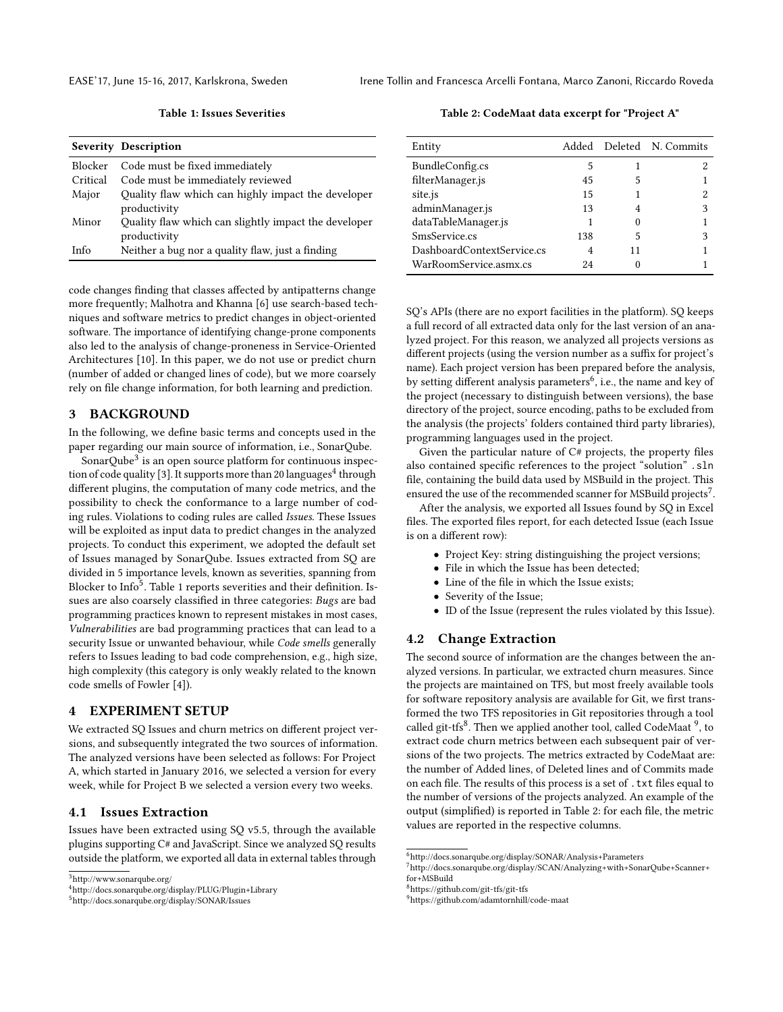<span id="page-1-3"></span>

EASE'17, June 15-16, 2017, Karlskrona, Sweden Irene Tollin and Francesca Arcelli Fontana, Marco Zanoni, Riccardo Roveda

Table 1: Issues Severities

|          | <b>Severity Description</b>                                          |
|----------|----------------------------------------------------------------------|
| Blocker  | Code must be fixed immediately                                       |
| Critical | Code must be immediately reviewed                                    |
| Major    | Quality flaw which can highly impact the developer<br>productivity   |
| Minor    | Quality flaw which can slightly impact the developer<br>productivity |
| Inf∩     | Neither a bug nor a quality flaw, just a finding                     |

code changes finding that classes affected by antipatterns change more frequently; Malhotra and Khanna [\[6\]](#page-3-3) use search-based techniques and software metrics to predict changes in object-oriented software. The importance of identifying change-prone components also led to the analysis of change-proneness in Service-Oriented Architectures [\[10\]](#page-3-4). In this paper, we do not use or predict churn (number of added or changed lines of code), but we more coarsely rely on file change information, for both learning and prediction.

## 3 BACKGROUND

In the following, we define basic terms and concepts used in the paper regarding our main source of information, i.e., SonarQube.

SonarQube $^3$  $^3$  is an open source platform for continuous inspec-tion of code quality [\[3\]](#page-3-5). It supports more than 20 languages $^4$  $^4$  through different plugins, the computation of many code metrics, and the possibility to check the conformance to a large number of coding rules. Violations to coding rules are called Issues. These Issues will be exploited as input data to predict changes in the analyzed projects. To conduct this experiment, we adopted the default set of Issues managed by SonarQube. Issues extracted from SQ are divided in 5 importance levels, known as severities, spanning from Blocker to Info<sup>[5](#page-1-2)</sup>. Table [1](#page-1-3) reports severities and their definition. Issues are also coarsely classified in three categories: Bugs are bad programming practices known to represent mistakes in most cases, Vulnerabilities are bad programming practices that can lead to a security Issue or unwanted behaviour, while Code smells generally refers to Issues leading to bad code comprehension, e.g., high size, high complexity (this category is only weakly related to the known code smells of Fowler [\[4\]](#page-3-6)).

## 4 EXPERIMENT SETUP

We extracted SQ Issues and churn metrics on different project versions, and subsequently integrated the two sources of information. The analyzed versions have been selected as follows: For Project A, which started in January 2016, we selected a version for every week, while for Project B we selected a version every two weeks.

#### 4.1 Issues Extraction

Issues have been extracted using SQ v5.5, through the available plugins supporting C# and JavaScript. Since we analyzed SQ results outside the platform, we exported all data in external tables through

<span id="page-1-8"></span>Table 2: CodeMaat data excerpt for "Project A"

| Entity                     |     |    | Added Deleted N. Commits |
|----------------------------|-----|----|--------------------------|
| BundleConfig.cs            | 5   |    |                          |
| filterManager.js           | 45  | 5  |                          |
| site.js                    | 15  |    |                          |
| adminManager.js            | 13  | 4  | 3                        |
| dataTableManager.js        |     | 0  |                          |
| SmsService.cs              | 138 | 5  | 3                        |
| DashboardContextService.cs |     | 11 |                          |
| WarRoomService.asmx.cs     | 24  |    |                          |

SQ's APIs (there are no export facilities in the platform). SQ keeps a full record of all extracted data only for the last version of an analyzed project. For this reason, we analyzed all projects versions as different projects (using the version number as a suffix for project's name). Each project version has been prepared before the analysis, by setting different analysis parameters<sup>[6](#page-1-4)</sup>, i.e., the name and key of the project (necessary to distinguish between versions), the base directory of the project, source encoding, paths to be excluded from the analysis (the projects' folders contained third party libraries), programming languages used in the project.

Given the particular nature of  $C#$  projects, the property files also contained specific references to the project "solution" .sln file, containing the build data used by MSBuild in the project. This ensured the use of the recommended scanner for MSBuild projects<sup>[7](#page-1-5)</sup>.

After the analysis, we exported all Issues found by SQ in Excel files. The exported files report, for each detected Issue (each Issue is on a different row):

- Project Key: string distinguishing the project versions;
- File in which the Issue has been detected;
- Line of the file in which the Issue exists;
- Severity of the Issue;
- ID of the Issue (represent the rules violated by this Issue).

## 4.2 Change Extraction

The second source of information are the changes between the analyzed versions. In particular, we extracted churn measures. Since the projects are maintained on TFS, but most freely available tools for software repository analysis are available for Git, we first transformed the two TFS repositories in Git repositories through a tool called git-tfs $^8$  $^8$ . Then we applied another tool, called CodeMaat  $^9$  $^9$ , to extract code churn metrics between each subsequent pair of versions of the two projects. The metrics extracted by CodeMaat are: the number of Added lines, of Deleted lines and of Commits made on each file. The results of this process is a set of . txt files equal to the number of versions of the projects analyzed. An example of the output (simplified) is reported in Table [2:](#page-1-8) for each file, the metric values are reported in the respective columns.

<span id="page-1-0"></span><sup>3</sup><http://www.sonarqube.org/>

<span id="page-1-1"></span><sup>4</sup><http://docs.sonarqube.org/display/PLUG/Plugin+Library>

<span id="page-1-2"></span><sup>5</sup><http://docs.sonarqube.org/display/SONAR/Issues>

<span id="page-1-4"></span><sup>6</sup><http://docs.sonarqube.org/display/SONAR/Analysis+Parameters>

<span id="page-1-5"></span> $^{7}$ [http://docs.sonarqube.org/display/SCAN/Analyzing+with+SonarQube+Scanner+](http://docs.sonarqube.org/display/SCAN/Analyzing+with+SonarQube+Scanner+for+MSBuild) [for+MSBuild](http://docs.sonarqube.org/display/SCAN/Analyzing+with+SonarQube+Scanner+for+MSBuild)

<span id="page-1-6"></span><sup>8</sup><https://github.com/git-tfs/git-tfs>

<span id="page-1-7"></span><sup>9</sup><https://github.com/adamtornhill/code-maat>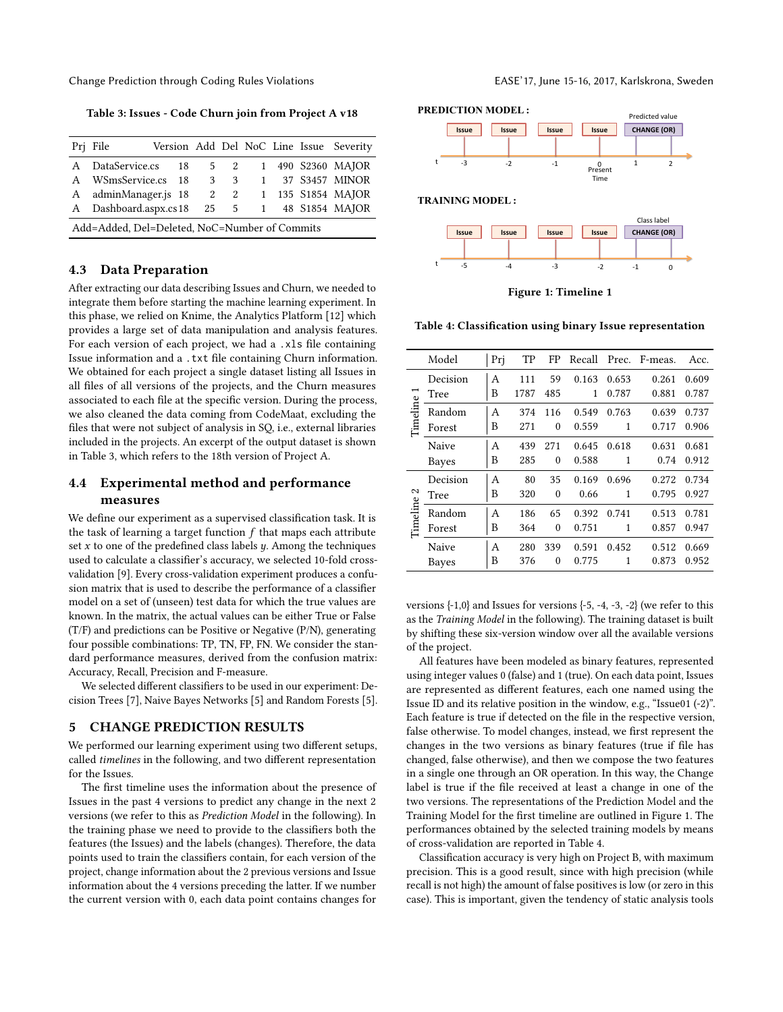Change Prediction through Coding Rules Violations EASE'17, June 15-16, 2017, Karlskrona, Sweden

<span id="page-2-0"></span>Table 3: Issues - Code Churn join from Project A v18

|                                               | Pri File              |  |   |     |  |  |  | Version Add Del NoC Line Issue Severity |
|-----------------------------------------------|-----------------------|--|---|-----|--|--|--|-----------------------------------------|
|                                               | A DataService.cs 18   |  |   | 5 2 |  |  |  | 1 490 S2360 MAJOR                       |
|                                               | A WSmsService.cs 18   |  | 3 | 3   |  |  |  | 1 37 S3457 MINOR                        |
|                                               | A adminManager.js 18  |  |   |     |  |  |  | 2 2 1 135 S1854 MAJOR                   |
|                                               | A Dashboard.aspx.cs18 |  |   |     |  |  |  | 25 5 1 48 S1854 MAJOR                   |
| Add=Added, Del=Deleted, NoC=Number of Commits |                       |  |   |     |  |  |  |                                         |

#### 4.3 Data Preparation

After extracting our data describing Issues and Churn, we needed to integrate them before starting the machine learning experiment. In this phase, we relied on Knime, the Analytics Platform [\[12\]](#page-3-7) which provides a large set of data manipulation and analysis features. For each version of each project, we had a .xls file containing Issue information and a .txt file containing Churn information. We obtained for each project a single dataset listing all Issues in all files of all versions of the projects, and the Churn measures associated to each file at the specific version. During the process, we also cleaned the data coming from CodeMaat, excluding the files that were not subject of analysis in SQ, i.e., external libraries included in the projects. An excerpt of the output dataset is shown in Table [3,](#page-2-0) which refers to the 18th version of Project A.

# 4.4 Experimental method and performance measures

We define our experiment as a supervised classification task. It is the task of learning a target function  $f$  that maps each attribute set  $x$  to one of the predefined class labels  $y$ . Among the techniques used to calculate a classifier's accuracy, we selected 10-fold crossvalidation [\[9\]](#page-3-8). Every cross-validation experiment produces a confusion matrix that is used to describe the performance of a classifier model on a set of (unseen) test data for which the true values are known. In the matrix, the actual values can be either True or False (T/F) and predictions can be Positive or Negative (P/N), generating four possible combinations: TP, TN, FP, FN. We consider the standard performance measures, derived from the confusion matrix: Accuracy, Recall, Precision and F-measure.

We selected different classifiers to be used in our experiment: Decision Trees [\[7\]](#page-3-9), Naive Bayes Networks [\[5\]](#page-3-10) and Random Forests [\[5\]](#page-3-10).

#### 5 CHANGE PREDICTION RESULTS

We performed our learning experiment using two different setups, called timelines in the following, and two different representation for the Issues.

The first timeline uses the information about the presence of Issues in the past 4 versions to predict any change in the next 2 versions (we refer to this as Prediction Model in the following). In the training phase we need to provide to the classifiers both the features (the Issues) and the labels (changes). Therefore, the data points used to train the classifiers contain, for each version of the project, change information about the 2 previous versions and Issue information about the 4 versions preceding the latter. If we number the current version with 0, each data point contains changes for

<span id="page-2-1"></span>

Figure 1: Timeline 1

#### <span id="page-2-2"></span>Table 4: Classification using binary Issue representation

|               | Model    | Prj | TP   | FP       | Recall |       | Prec. F-meas. | Acc.  |
|---------------|----------|-----|------|----------|--------|-------|---------------|-------|
| Timeline      | Decision | A   | 111  | 59       | 0.163  | 0.653 | 0.261         | 0.609 |
|               | Tree     | B   | 1787 | 485      | 1      | 0.787 | 0.881         | 0.787 |
|               | Random   | A   | 374  | 116      | 0.549  | 0.763 | 0.639         | 0.737 |
|               | Forest   | B   | 271  | $\theta$ | 0.559  | 1     | 0.717         | 0.906 |
|               | Naive    | A   | 439  | 271      | 0.645  | 0.618 | 0.631         | 0.681 |
|               | Bayes    | B   | 285  | $\theta$ | 0.588  | 1     | 0.74          | 0.912 |
| 2<br>Timeline | Decision | A   | 80   | 35       | 0.169  | 0.696 | 0.272         | 0.734 |
|               | Tree     | B   | 320  | $\theta$ | 0.66   | 1     | 0.795         | 0.927 |
|               | Random   | A   | 186  | 65       | 0.392  | 0.741 | 0.513         | 0.781 |
|               | Forest   | B   | 364  | $\theta$ | 0.751  | 1     | 0.857         | 0.947 |
|               | Naive    | A   | 280  | 339      | 0.591  | 0.452 | 0.512         | 0.669 |
|               | Bayes    | В   | 376  | $\theta$ | 0.775  | 1     | 0.873         | 0.952 |

versions  $\{-1,0\}$  and Issues for versions  $\{-5, -4, -3, -2\}$  (we refer to this as the Training Model in the following). The training dataset is built by shifting these six-version window over all the available versions of the project.

All features have been modeled as binary features, represented using integer values 0 (false) and 1 (true). On each data point, Issues are represented as different features, each one named using the Issue ID and its relative position in the window, e.g., "Issue01 (-2)". Each feature is true if detected on the file in the respective version, false otherwise. To model changes, instead, we first represent the changes in the two versions as binary features (true if file has changed, false otherwise), and then we compose the two features in a single one through an OR operation. In this way, the Change label is true if the file received at least a change in one of the two versions. The representations of the Prediction Model and the Training Model for the first timeline are outlined in Figure [1.](#page-2-1) The performances obtained by the selected training models by means of cross-validation are reported in Table [4.](#page-2-2)

Classification accuracy is very high on Project B, with maximum precision. This is a good result, since with high precision (while recall is not high) the amount of false positives is low (or zero in this case). This is important, given the tendency of static analysis tools